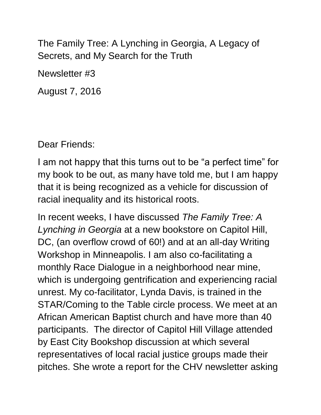The Family Tree: A Lynching in Georgia, A Legacy of Secrets, and My Search for the Truth

Newsletter #3

August 7, 2016

Dear Friends:

I am not happy that this turns out to be "a perfect time" for my book to be out, as many have told me, but I am happy that it is being recognized as a vehicle for discussion of racial inequality and its historical roots.

In recent weeks, I have discussed *The Family Tree: A Lynching in Georgia* at a new bookstore on Capitol Hill, DC, (an overflow crowd of 60!) and at an all-day Writing Workshop in Minneapolis. I am also co-facilitating a monthly Race Dialogue in a neighborhood near mine, which is undergoing gentrification and experiencing racial unrest. My co-facilitator, Lynda Davis, is trained in the STAR/Coming to the Table circle process. We meet at an African American Baptist church and have more than 40 participants. The director of Capitol Hill Village attended by East City Bookshop discussion at which several representatives of local racial justice groups made their pitches. She wrote a report for the CHV newsletter asking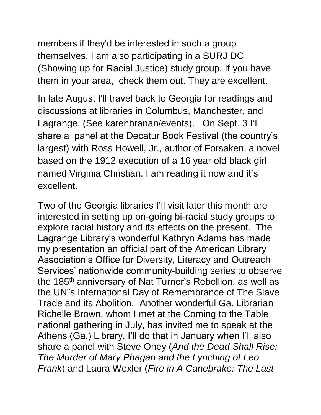members if they'd be interested in such a group themselves. I am also participating in a SURJ DC (Showing up for Racial Justice) study group. If you have them in your area, check them out. They are excellent.

In late August I'll travel back to Georgia for readings and discussions at libraries in Columbus, Manchester, and Lagrange. (See karenbranan/events). On Sept. 3 I'll share a panel at the Decatur Book Festival (the country's largest) with Ross Howell, Jr., author of Forsaken, a novel based on the 1912 execution of a 16 year old black girl named Virginia Christian. I am reading it now and it's excellent.

Two of the Georgia libraries I'll visit later this month are interested in setting up on-going bi-racial study groups to explore racial history and its effects on the present. The Lagrange Library's wonderful Kathryn Adams has made my presentation an official part of the American Library Association's Office for Diversity, Literacy and Outreach Services' nationwide community-building series to observe the 185<sup>th</sup> anniversary of Nat Turner's Rebellion, as well as the UN"s International Day of Remembrance of The Slave Trade and its Abolition. Another wonderful Ga. Librarian Richelle Brown, whom I met at the Coming to the Table national gathering in July, has invited me to speak at the Athens (Ga.) Library. I'll do that in January when I'll also share a panel with Steve Oney (*And the Dead Shall Rise: The Murder of Mary Phagan and the Lynching of Leo Frank*) and Laura Wexler (*Fire in A Canebrake: The Last*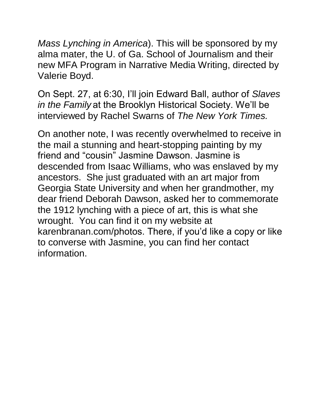*Mass Lynching in America*). This will be sponsored by my alma mater, the U. of Ga. School of Journalism and their new MFA Program in Narrative Media Writing, directed by Valerie Boyd.

On Sept. 27, at 6:30, I'll join Edward Ball, author of *Slaves in the Family* at the Brooklyn Historical Society. We'll be interviewed by Rachel Swarns of *The New York Times.*

On another note, I was recently overwhelmed to receive in the mail a stunning and heart-stopping painting by my friend and "cousin" Jasmine Dawson. Jasmine is descended from Isaac Williams, who was enslaved by my ancestors. She just graduated with an art major from Georgia State University and when her grandmother, my dear friend Deborah Dawson, asked her to commemorate the 1912 lynching with a piece of art, this is what she wrought. You can find it on my website at karenbranan.com/photos. There, if you'd like a copy or like to converse with Jasmine, you can find her contact information.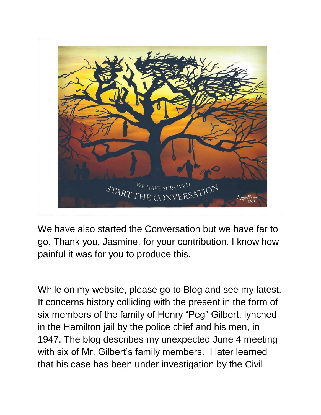

We have also started the Conversation but we have far to go. Thank you, Jasmine, for your contribution. I know how painful it was for you to produce this.

While on my website, please go to Blog and see my latest. It concerns history colliding with the present in the form of six members of the family of Henry "Peg" Gilbert, lynched in the Hamilton jail by the police chief and his men, in 1947. The blog describes my unexpected June 4 meeting with six of Mr. Gilbert's family members. I later learned that his case has been under investigation by the Civil